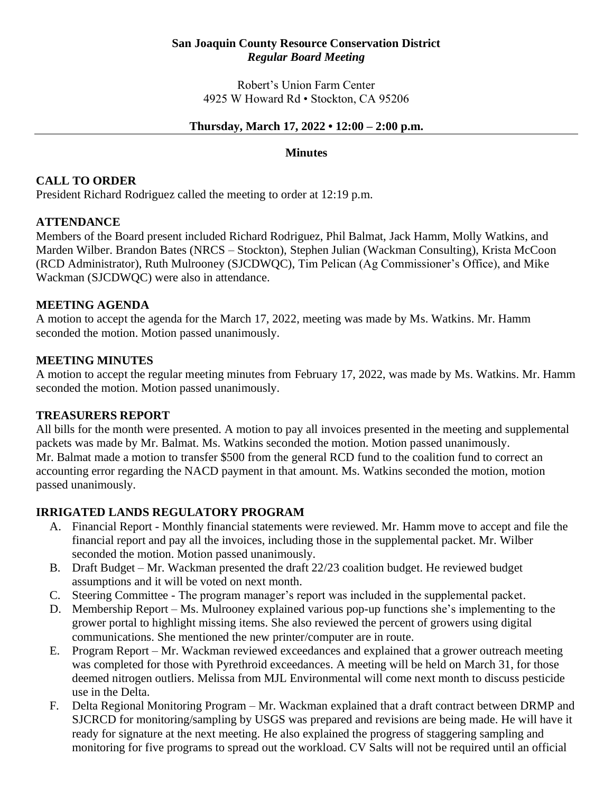#### **San Joaquin County Resource Conservation District** *Regular Board Meeting*

Robert's Union Farm Center 4925 W Howard Rd • Stockton, CA 95206

#### **Thursday, March 17, 2022 • 12:00 – 2:00 p.m.**

#### **Minutes**

### **CALL TO ORDER**

President Richard Rodriguez called the meeting to order at 12:19 p.m.

### **ATTENDANCE**

Members of the Board present included Richard Rodriguez, Phil Balmat, Jack Hamm, Molly Watkins, and Marden Wilber. Brandon Bates (NRCS – Stockton), Stephen Julian (Wackman Consulting), Krista McCoon (RCD Administrator), Ruth Mulrooney (SJCDWQC), Tim Pelican (Ag Commissioner's Office), and Mike Wackman (SJCDWQC) were also in attendance.

### **MEETING AGENDA**

A motion to accept the agenda for the March 17, 2022, meeting was made by Ms. Watkins. Mr. Hamm seconded the motion. Motion passed unanimously.

### **MEETING MINUTES**

A motion to accept the regular meeting minutes from February 17, 2022, was made by Ms. Watkins. Mr. Hamm seconded the motion. Motion passed unanimously.

### **TREASURERS REPORT**

All bills for the month were presented. A motion to pay all invoices presented in the meeting and supplemental packets was made by Mr. Balmat. Ms. Watkins seconded the motion. Motion passed unanimously. Mr. Balmat made a motion to transfer \$500 from the general RCD fund to the coalition fund to correct an accounting error regarding the NACD payment in that amount. Ms. Watkins seconded the motion, motion passed unanimously.

# **IRRIGATED LANDS REGULATORY PROGRAM**

- A. Financial Report Monthly financial statements were reviewed. Mr. Hamm move to accept and file the financial report and pay all the invoices, including those in the supplemental packet. Mr. Wilber seconded the motion. Motion passed unanimously.
- B. Draft Budget Mr. Wackman presented the draft 22/23 coalition budget. He reviewed budget assumptions and it will be voted on next month.
- C. Steering Committee The program manager's report was included in the supplemental packet.
- D. Membership Report Ms. Mulrooney explained various pop-up functions she's implementing to the grower portal to highlight missing items. She also reviewed the percent of growers using digital communications. She mentioned the new printer/computer are in route.
- E. Program Report Mr. Wackman reviewed exceedances and explained that a grower outreach meeting was completed for those with Pyrethroid exceedances. A meeting will be held on March 31, for those deemed nitrogen outliers. Melissa from MJL Environmental will come next month to discuss pesticide use in the Delta.
- F. Delta Regional Monitoring Program Mr. Wackman explained that a draft contract between DRMP and SJCRCD for monitoring/sampling by USGS was prepared and revisions are being made. He will have it ready for signature at the next meeting. He also explained the progress of staggering sampling and monitoring for five programs to spread out the workload. CV Salts will not be required until an official